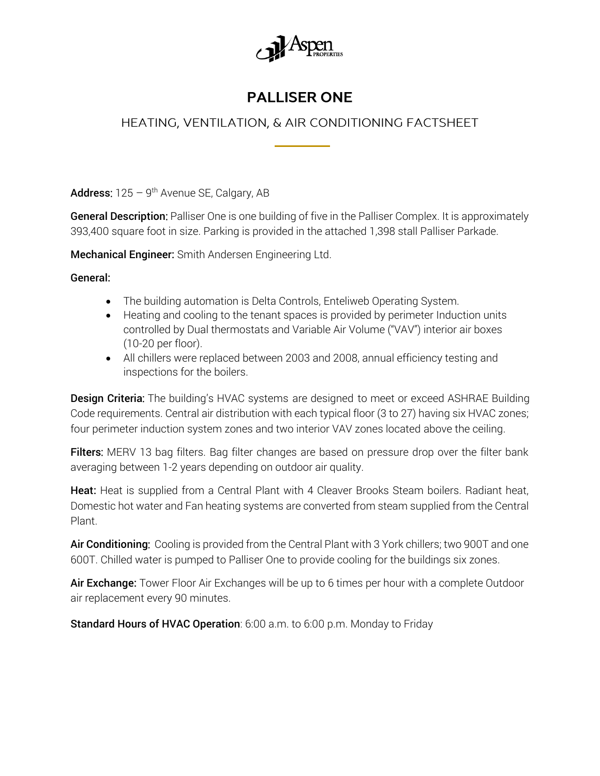

## **PALLISER ONE**

HEATING, VENTILATION, & AIR CONDITIONING FACTSHEET

**Address:** 125 – 9<sup>th</sup> Avenue SE, Calgary, AB

General Description: Palliser One is one building of five in the Palliser Complex. It is approximately 393,400 square foot in size. Parking is provided in the attached 1,398 stall Palliser Parkade.

Mechanical Engineer: Smith Andersen Engineering Ltd.

General:

- The building automation is Delta Controls, Enteliweb Operating System.
- Heating and cooling to the tenant spaces is provided by perimeter Induction units controlled by Dual thermostats and Variable Air Volume ("VAV") interior air boxes (10-20 per floor).
- All chillers were replaced between 2003 and 2008, annual efficiency testing and inspections for the boilers.

**Design Criteria:** The building's HVAC systems are designed to meet or exceed ASHRAE Building Code requirements. Central air distribution with each typical floor (3 to 27) having six HVAC zones; four perimeter induction system zones and two interior VAV zones located above the ceiling.

Filters: MERV 13 bag filters. Bag filter changes are based on pressure drop over the filter bank averaging between 1-2 years depending on outdoor air quality.

Heat: Heat is supplied from a Central Plant with 4 Cleaver Brooks Steam boilers. Radiant heat, Domestic hot water and Fan heating systems are converted from steam supplied from the Central Plant.

Air Conditioning: Cooling is provided from the Central Plant with 3 York chillers; two 900T and one 600T. Chilled water is pumped to Palliser One to provide cooling for the buildings six zones.

Air Exchange: Tower Floor Air Exchanges will be up to 6 times per hour with a complete Outdoor air replacement every 90 minutes.

Standard Hours of HVAC Operation: 6:00 a.m. to 6:00 p.m. Monday to Friday